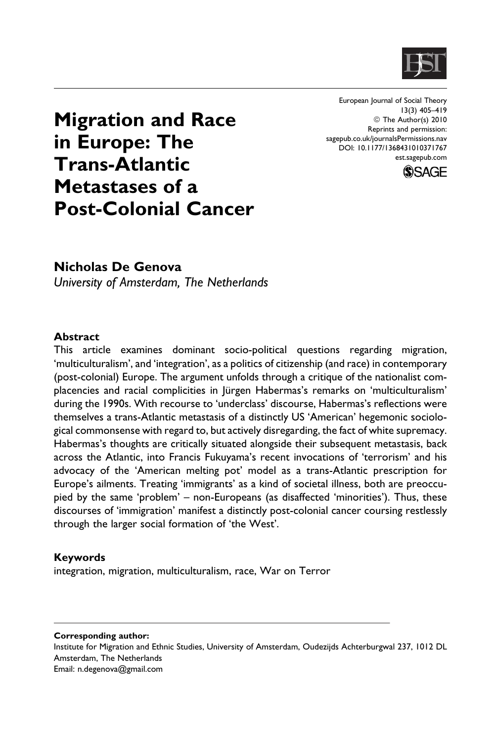

# Migration and Race in Europe: The Trans-Atlantic Metastases of a Post-Colonial Cancer

European Journal of Social Theory 13(3) 405–419 © The Author(s) 2010 Reprints and permission: sagepub.co.uk/journalsPermissions.nav DOI: 10.1177/1368431010371767 est.sagepub.com



# Nicholas De Genova

University of Amsterdam, The Netherlands

## Abstract

This article examines dominant socio-political questions regarding migration, 'multiculturalism', and 'integration', as a politics of citizenship (and race) in contemporary (post-colonial) Europe. The argument unfolds through a critique of the nationalist complacencies and racial complicities in Jürgen Habermas's remarks on 'multiculturalism' during the 1990s. With recourse to 'underclass' discourse, Habermas's reflections were themselves a trans-Atlantic metastasis of a distinctly US 'American' hegemonic sociological commonsense with regard to, but actively disregarding, the fact of white supremacy. Habermas's thoughts are critically situated alongside their subsequent metastasis, back across the Atlantic, into Francis Fukuyama's recent invocations of 'terrorism' and his advocacy of the 'American melting pot' model as a trans-Atlantic prescription for Europe's ailments. Treating 'immigrants' as a kind of societal illness, both are preoccupied by the same 'problem' – non-Europeans (as disaffected 'minorities'). Thus, these discourses of 'immigration' manifest a distinctly post-colonial cancer coursing restlessly through the larger social formation of 'the West'.

#### Keywords

integration, migration, multiculturalism, race, War on Terror

#### Corresponding author:

Institute for Migration and Ethnic Studies, University of Amsterdam, Oudezijds Achterburgwal 237, 1012 DL Amsterdam, The Netherlands Email: n.degenova@gmail.com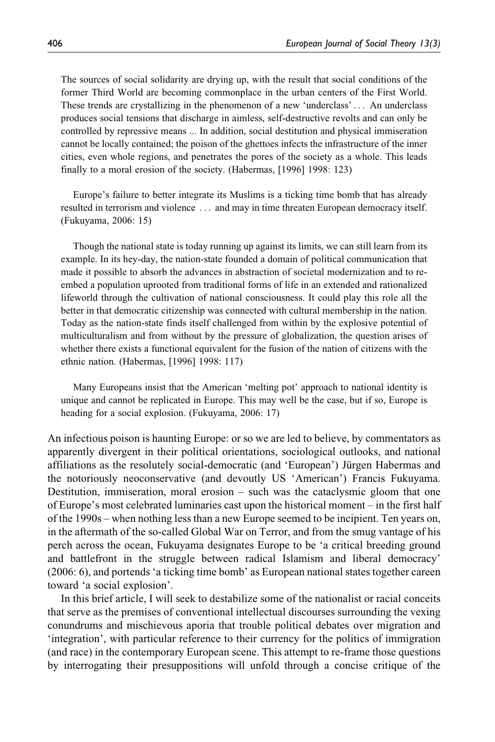The sources of social solidarity are drying up, with the result that social conditions of the former Third World are becoming commonplace in the urban centers of the First World. These trends are crystallizing in the phenomenon of a new 'underclass' ... An underclass produces social tensions that discharge in aimless, self-destructive revolts and can only be controlled by repressive means ... In addition, social destitution and physical immiseration cannot be locally contained; the poison of the ghettoes infects the infrastructure of the inner cities, even whole regions, and penetrates the pores of the society as a whole. This leads finally to a moral erosion of the society. (Habermas, [1996] 1998: 123)

Europe's failure to better integrate its Muslims is a ticking time bomb that has already resulted in terrorism and violence ... and may in time threaten European democracy itself. (Fukuyama, 2006: 15)

Though the national state is today running up against its limits, we can still learn from its example. In its hey-day, the nation-state founded a domain of political communication that made it possible to absorb the advances in abstraction of societal modernization and to reembed a population uprooted from traditional forms of life in an extended and rationalized lifeworld through the cultivation of national consciousness. It could play this role all the better in that democratic citizenship was connected with cultural membership in the nation. Today as the nation-state finds itself challenged from within by the explosive potential of multiculturalism and from without by the pressure of globalization, the question arises of whether there exists a functional equivalent for the fusion of the nation of citizens with the ethnic nation. (Habermas, [1996] 1998: 117)

Many Europeans insist that the American 'melting pot' approach to national identity is unique and cannot be replicated in Europe. This may well be the case, but if so, Europe is heading for a social explosion. (Fukuyama, 2006: 17)

An infectious poison is haunting Europe: or so we are led to believe, by commentators as apparently divergent in their political orientations, sociological outlooks, and national affiliations as the resolutely social-democratic (and 'European') Jürgen Habermas and the notoriously neoconservative (and devoutly US 'American') Francis Fukuyama. Destitution, immiseration, moral erosion – such was the cataclysmic gloom that one of Europe's most celebrated luminaries cast upon the historical moment – in the first half of the 1990s – when nothing less than a new Europe seemed to be incipient. Ten years on, in the aftermath of the so-called Global War on Terror, and from the smug vantage of his perch across the ocean, Fukuyama designates Europe to be 'a critical breeding ground and battlefront in the struggle between radical Islamism and liberal democracy' (2006: 6), and portends 'a ticking time bomb' as European national states together careen toward 'a social explosion'.

In this brief article, I will seek to destabilize some of the nationalist or racial conceits that serve as the premises of conventional intellectual discourses surrounding the vexing conundrums and mischievous aporia that trouble political debates over migration and 'integration', with particular reference to their currency for the politics of immigration (and race) in the contemporary European scene. This attempt to re-frame those questions by interrogating their presuppositions will unfold through a concise critique of the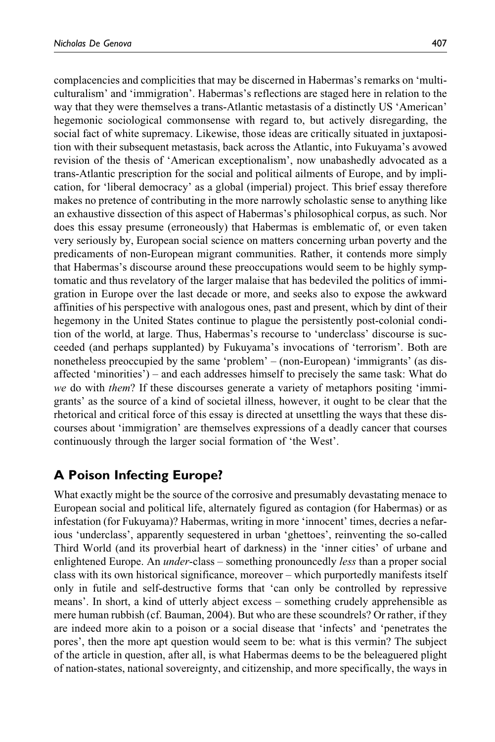complacencies and complicities that may be discerned in Habermas's remarks on 'multiculturalism' and 'immigration'. Habermas's reflections are staged here in relation to the way that they were themselves a trans-Atlantic metastasis of a distinctly US 'American' hegemonic sociological commonsense with regard to, but actively disregarding, the social fact of white supremacy. Likewise, those ideas are critically situated in juxtaposition with their subsequent metastasis, back across the Atlantic, into Fukuyama's avowed revision of the thesis of 'American exceptionalism', now unabashedly advocated as a trans-Atlantic prescription for the social and political ailments of Europe, and by implication, for 'liberal democracy' as a global (imperial) project. This brief essay therefore makes no pretence of contributing in the more narrowly scholastic sense to anything like an exhaustive dissection of this aspect of Habermas's philosophical corpus, as such. Nor does this essay presume (erroneously) that Habermas is emblematic of, or even taken very seriously by, European social science on matters concerning urban poverty and the predicaments of non-European migrant communities. Rather, it contends more simply that Habermas's discourse around these preoccupations would seem to be highly symptomatic and thus revelatory of the larger malaise that has bedeviled the politics of immigration in Europe over the last decade or more, and seeks also to expose the awkward affinities of his perspective with analogous ones, past and present, which by dint of their hegemony in the United States continue to plague the persistently post-colonial condition of the world, at large. Thus, Habermas's recourse to 'underclass' discourse is succeeded (and perhaps supplanted) by Fukuyama's invocations of 'terrorism'. Both are nonetheless preoccupied by the same 'problem' – (non-European) 'immigrants' (as disaffected 'minorities') – and each addresses himself to precisely the same task: What do we do with *them*? If these discourses generate a variety of metaphors positing 'immigrants' as the source of a kind of societal illness, however, it ought to be clear that the rhetorical and critical force of this essay is directed at unsettling the ways that these discourses about 'immigration' are themselves expressions of a deadly cancer that courses continuously through the larger social formation of 'the West'.

# A Poison Infecting Europe?

What exactly might be the source of the corrosive and presumably devastating menace to European social and political life, alternately figured as contagion (for Habermas) or as infestation (for Fukuyama)? Habermas, writing in more 'innocent' times, decries a nefarious 'underclass', apparently sequestered in urban 'ghettoes', reinventing the so-called Third World (and its proverbial heart of darkness) in the 'inner cities' of urbane and enlightened Europe. An *under*-class – something pronouncedly *less* than a proper social class with its own historical significance, moreover – which purportedly manifests itself only in futile and self-destructive forms that 'can only be controlled by repressive means'. In short, a kind of utterly abject excess – something crudely apprehensible as mere human rubbish (cf. Bauman, 2004). But who are these scoundrels? Or rather, if they are indeed more akin to a poison or a social disease that 'infects' and 'penetrates the pores', then the more apt question would seem to be: what is this vermin? The subject of the article in question, after all, is what Habermas deems to be the beleaguered plight of nation-states, national sovereignty, and citizenship, and more specifically, the ways in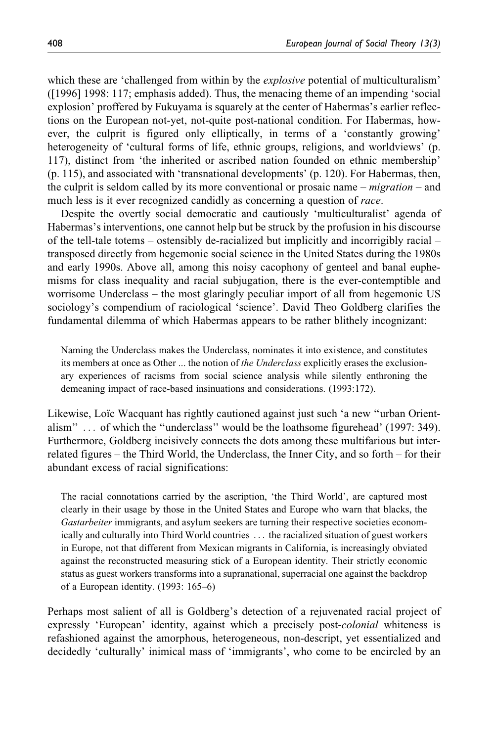which these are 'challenged from within by the *explosive* potential of multiculturalism' ([1996] 1998: 117; emphasis added). Thus, the menacing theme of an impending 'social explosion' proffered by Fukuyama is squarely at the center of Habermas's earlier reflections on the European not-yet, not-quite post-national condition. For Habermas, however, the culprit is figured only elliptically, in terms of a 'constantly growing' heterogeneity of 'cultural forms of life, ethnic groups, religions, and worldviews' (p. 117), distinct from 'the inherited or ascribed nation founded on ethnic membership' (p. 115), and associated with 'transnational developments' (p. 120). For Habermas, then, the culprit is seldom called by its more conventional or prosaic name – *migration* – and much less is it ever recognized candidly as concerning a question of race.

Despite the overtly social democratic and cautiously 'multiculturalist' agenda of Habermas's interventions, one cannot help but be struck by the profusion in his discourse of the tell-tale totems – ostensibly de-racialized but implicitly and incorrigibly racial – transposed directly from hegemonic social science in the United States during the 1980s and early 1990s. Above all, among this noisy cacophony of genteel and banal euphemisms for class inequality and racial subjugation, there is the ever-contemptible and worrisome Underclass – the most glaringly peculiar import of all from hegemonic US sociology's compendium of raciological 'science'. David Theo Goldberg clarifies the fundamental dilemma of which Habermas appears to be rather blithely incognizant:

Naming the Underclass makes the Underclass, nominates it into existence, and constitutes its members at once as Other ... the notion of the Underclass explicitly erases the exclusionary experiences of racisms from social science analysis while silently enthroning the demeaning impact of race-based insinuations and considerations. (1993:172).

Likewise, Loïc Wacquant has rightly cautioned against just such 'a new "urban Orientalism'' ... of which the ''underclass'' would be the loathsome figurehead' (1997: 349). Furthermore, Goldberg incisively connects the dots among these multifarious but interrelated figures – the Third World, the Underclass, the Inner City, and so forth – for their abundant excess of racial significations:

The racial connotations carried by the ascription, 'the Third World', are captured most clearly in their usage by those in the United States and Europe who warn that blacks, the Gastarbeiter immigrants, and asylum seekers are turning their respective societies economically and culturally into Third World countries ... the racialized situation of guest workers in Europe, not that different from Mexican migrants in California, is increasingly obviated against the reconstructed measuring stick of a European identity. Their strictly economic status as guest workers transforms into a supranational, superracial one against the backdrop of a European identity. (1993: 165–6)

Perhaps most salient of all is Goldberg's detection of a rejuvenated racial project of expressly 'European' identity, against which a precisely post-*colonial* whiteness is refashioned against the amorphous, heterogeneous, non-descript, yet essentialized and decidedly 'culturally' inimical mass of 'immigrants', who come to be encircled by an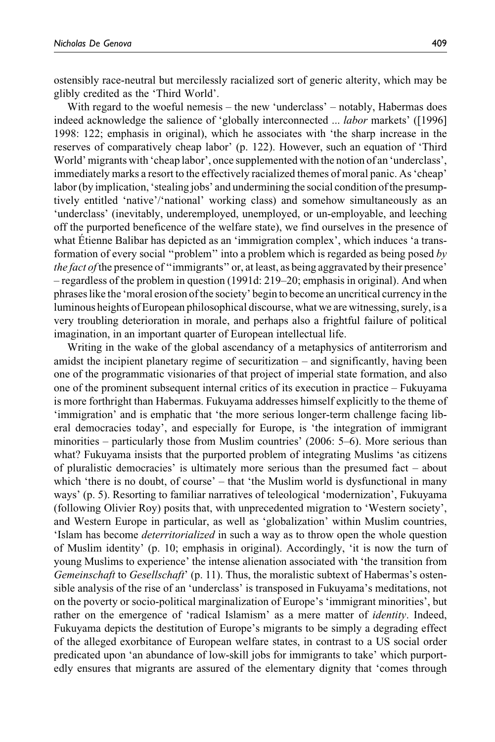ostensibly race-neutral but mercilessly racialized sort of generic alterity, which may be glibly credited as the 'Third World'.

With regard to the woeful nemesis – the new 'underclass' – notably, Habermas does indeed acknowledge the salience of 'globally interconnected ... labor markets' ([1996] 1998: 122; emphasis in original), which he associates with 'the sharp increase in the reserves of comparatively cheap labor' (p. 122). However, such an equation of 'Third World' migrants with 'cheap labor', once supplemented with the notion of an 'underclass', immediately marks a resort to the effectively racialized themes of moral panic. As 'cheap' labor (by implication, 'stealing jobs' and undermining the social condition of the presumptively entitled 'native'/'national' working class) and somehow simultaneously as an 'underclass' (inevitably, underemployed, unemployed, or un-employable, and leeching off the purported beneficence of the welfare state), we find ourselves in the presence of what Etienne Balibar has depicted as an 'immigration complex', which induces 'a transformation of every social "problem" into a problem which is regarded as being posed by the fact of the presence of ''immigrants'' or, at least, as being aggravated by their presence' – regardless of the problem in question (1991d: 219–20; emphasis in original). And when phrases like the 'moral erosion of the society' begin to become an uncritical currency in the luminous heights of European philosophical discourse, what we are witnessing, surely, is a very troubling deterioration in morale, and perhaps also a frightful failure of political imagination, in an important quarter of European intellectual life.

Writing in the wake of the global ascendancy of a metaphysics of antiterrorism and amidst the incipient planetary regime of securitization – and significantly, having been one of the programmatic visionaries of that project of imperial state formation, and also one of the prominent subsequent internal critics of its execution in practice – Fukuyama is more forthright than Habermas. Fukuyama addresses himself explicitly to the theme of 'immigration' and is emphatic that 'the more serious longer-term challenge facing liberal democracies today', and especially for Europe, is 'the integration of immigrant minorities – particularly those from Muslim countries' (2006: 5–6). More serious than what? Fukuyama insists that the purported problem of integrating Muslims 'as citizens of pluralistic democracies' is ultimately more serious than the presumed fact – about which 'there is no doubt, of course' – that 'the Muslim world is dysfunctional in many ways' (p. 5). Resorting to familiar narratives of teleological 'modernization', Fukuyama (following Olivier Roy) posits that, with unprecedented migration to 'Western society', and Western Europe in particular, as well as 'globalization' within Muslim countries, 'Islam has become deterritorialized in such a way as to throw open the whole question of Muslim identity' (p. 10; emphasis in original). Accordingly, 'it is now the turn of young Muslims to experience' the intense alienation associated with 'the transition from Gemeinschaft to Gesellschaft' (p. 11). Thus, the moralistic subtext of Habermas's ostensible analysis of the rise of an 'underclass' is transposed in Fukuyama's meditations, not on the poverty or socio-political marginalization of Europe's 'immigrant minorities', but rather on the emergence of 'radical Islamism' as a mere matter of *identity*. Indeed, Fukuyama depicts the destitution of Europe's migrants to be simply a degrading effect of the alleged exorbitance of European welfare states, in contrast to a US social order predicated upon 'an abundance of low-skill jobs for immigrants to take' which purportedly ensures that migrants are assured of the elementary dignity that 'comes through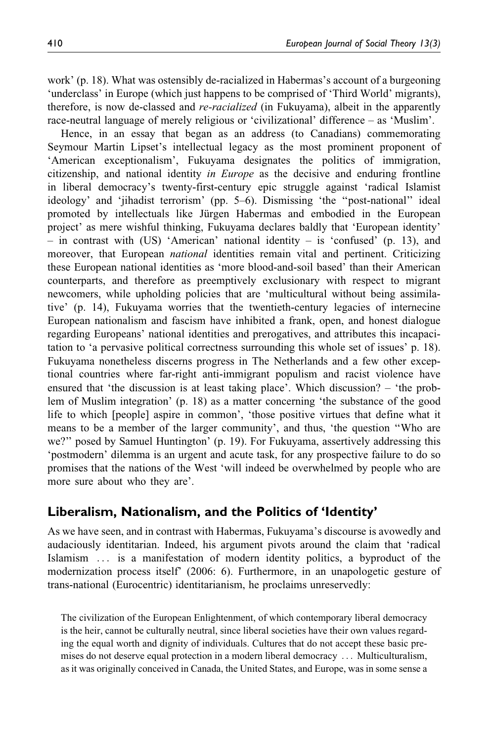work' (p. 18). What was ostensibly de-racialized in Habermas's account of a burgeoning 'underclass' in Europe (which just happens to be comprised of 'Third World' migrants), therefore, is now de-classed and *re-racialized* (in Fukuyama), albeit in the apparently race-neutral language of merely religious or 'civilizational' difference – as 'Muslim'.

Hence, in an essay that began as an address (to Canadians) commemorating Seymour Martin Lipset's intellectual legacy as the most prominent proponent of 'American exceptionalism', Fukuyama designates the politics of immigration, citizenship, and national identity in Europe as the decisive and enduring frontline in liberal democracy's twenty-first-century epic struggle against 'radical Islamist ideology' and 'jihadist terrorism' (pp. 5–6). Dismissing 'the ''post-national'' ideal promoted by intellectuals like Jürgen Habermas and embodied in the European project' as mere wishful thinking, Fukuyama declares baldly that 'European identity' – in contrast with (US) 'American' national identity – is 'confused' (p. 13), and moreover, that European *national* identities remain vital and pertinent. Criticizing these European national identities as 'more blood-and-soil based' than their American counterparts, and therefore as preemptively exclusionary with respect to migrant newcomers, while upholding policies that are 'multicultural without being assimilative' (p. 14), Fukuyama worries that the twentieth-century legacies of internecine European nationalism and fascism have inhibited a frank, open, and honest dialogue regarding Europeans' national identities and prerogatives, and attributes this incapacitation to 'a pervasive political correctness surrounding this whole set of issues' p. 18). Fukuyama nonetheless discerns progress in The Netherlands and a few other exceptional countries where far-right anti-immigrant populism and racist violence have ensured that 'the discussion is at least taking place'. Which discussion? – 'the problem of Muslim integration' (p. 18) as a matter concerning 'the substance of the good life to which [people] aspire in common', 'those positive virtues that define what it means to be a member of the larger community', and thus, 'the question ''Who are we?'' posed by Samuel Huntington' (p. 19). For Fukuyama, assertively addressing this 'postmodern' dilemma is an urgent and acute task, for any prospective failure to do so promises that the nations of the West 'will indeed be overwhelmed by people who are more sure about who they are'.

# Liberalism, Nationalism, and the Politics of 'Identity'

As we have seen, and in contrast with Habermas, Fukuyama's discourse is avowedly and audaciously identitarian. Indeed, his argument pivots around the claim that 'radical Islamism ... is a manifestation of modern identity politics, a byproduct of the modernization process itself' (2006: 6). Furthermore, in an unapologetic gesture of trans-national (Eurocentric) identitarianism, he proclaims unreservedly:

The civilization of the European Enlightenment, of which contemporary liberal democracy is the heir, cannot be culturally neutral, since liberal societies have their own values regarding the equal worth and dignity of individuals. Cultures that do not accept these basic premises do not deserve equal protection in a modern liberal democracy ... Multiculturalism, as it was originally conceived in Canada, the United States, and Europe, was in some sense a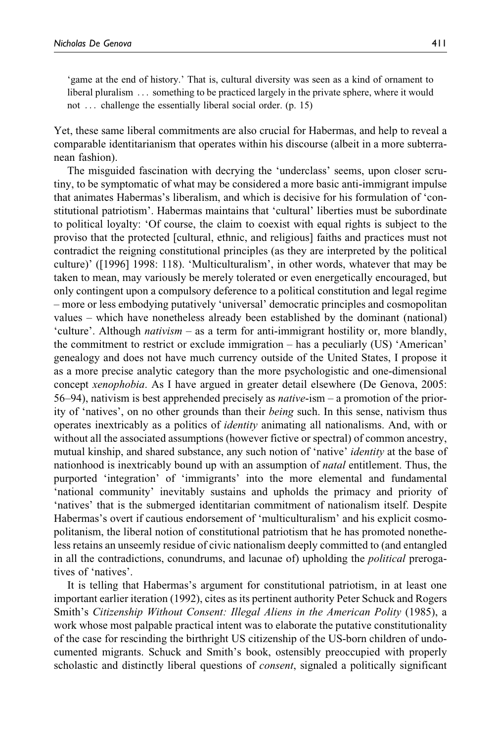'game at the end of history.' That is, cultural diversity was seen as a kind of ornament to liberal pluralism ... something to be practiced largely in the private sphere, where it would not ... challenge the essentially liberal social order. (p. 15)

Yet, these same liberal commitments are also crucial for Habermas, and help to reveal a comparable identitarianism that operates within his discourse (albeit in a more subterranean fashion).

The misguided fascination with decrying the 'underclass' seems, upon closer scrutiny, to be symptomatic of what may be considered a more basic anti-immigrant impulse that animates Habermas's liberalism, and which is decisive for his formulation of 'constitutional patriotism'. Habermas maintains that 'cultural' liberties must be subordinate to political loyalty: 'Of course, the claim to coexist with equal rights is subject to the proviso that the protected [cultural, ethnic, and religious] faiths and practices must not contradict the reigning constitutional principles (as they are interpreted by the political culture)' ([1996] 1998: 118). 'Multiculturalism', in other words, whatever that may be taken to mean, may variously be merely tolerated or even energetically encouraged, but only contingent upon a compulsory deference to a political constitution and legal regime – more or less embodying putatively 'universal' democratic principles and cosmopolitan values – which have nonetheless already been established by the dominant (national) 'culture'. Although *nativism* – as a term for anti-immigrant hostility or, more blandly, the commitment to restrict or exclude immigration – has a peculiarly (US) 'American' genealogy and does not have much currency outside of the United States, I propose it as a more precise analytic category than the more psychologistic and one-dimensional concept xenophobia. As I have argued in greater detail elsewhere (De Genova, 2005: 56–94), nativism is best apprehended precisely as *native*-ism – a promotion of the priority of 'natives', on no other grounds than their being such. In this sense, nativism thus operates inextricably as a politics of identity animating all nationalisms. And, with or without all the associated assumptions (however fictive or spectral) of common ancestry, mutual kinship, and shared substance, any such notion of 'native' identity at the base of nationhood is inextricably bound up with an assumption of natal entitlement. Thus, the purported 'integration' of 'immigrants' into the more elemental and fundamental 'national community' inevitably sustains and upholds the primacy and priority of 'natives' that is the submerged identitarian commitment of nationalism itself. Despite Habermas's overt if cautious endorsement of 'multiculturalism' and his explicit cosmopolitanism, the liberal notion of constitutional patriotism that he has promoted nonetheless retains an unseemly residue of civic nationalism deeply committed to (and entangled in all the contradictions, conundrums, and lacunae of) upholding the *political* prerogatives of 'natives'.

It is telling that Habermas's argument for constitutional patriotism, in at least one important earlier iteration (1992), cites as its pertinent authority Peter Schuck and Rogers Smith's Citizenship Without Consent: Illegal Aliens in the American Polity (1985), a work whose most palpable practical intent was to elaborate the putative constitutionality of the case for rescinding the birthright US citizenship of the US-born children of undocumented migrants. Schuck and Smith's book, ostensibly preoccupied with properly scholastic and distinctly liberal questions of consent, signaled a politically significant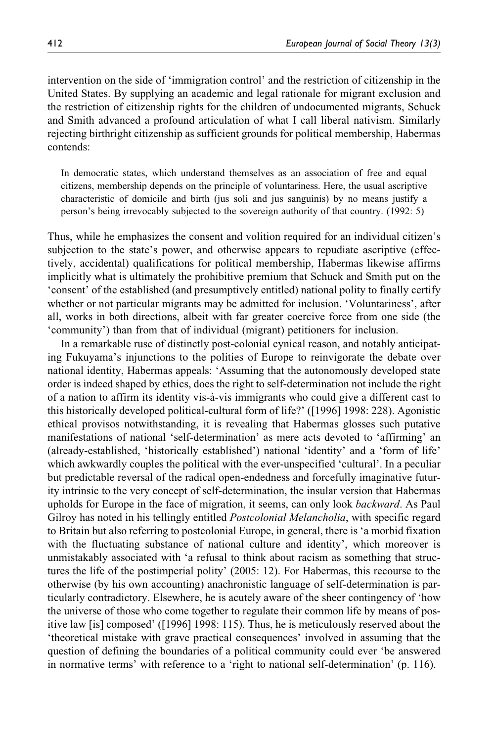intervention on the side of 'immigration control' and the restriction of citizenship in the United States. By supplying an academic and legal rationale for migrant exclusion and the restriction of citizenship rights for the children of undocumented migrants, Schuck and Smith advanced a profound articulation of what I call liberal nativism. Similarly rejecting birthright citizenship as sufficient grounds for political membership, Habermas contends:

In democratic states, which understand themselves as an association of free and equal citizens, membership depends on the principle of voluntariness. Here, the usual ascriptive characteristic of domicile and birth (jus soli and jus sanguinis) by no means justify a person's being irrevocably subjected to the sovereign authority of that country. (1992: 5)

Thus, while he emphasizes the consent and volition required for an individual citizen's subjection to the state's power, and otherwise appears to repudiate ascriptive (effectively, accidental) qualifications for political membership, Habermas likewise affirms implicitly what is ultimately the prohibitive premium that Schuck and Smith put on the 'consent' of the established (and presumptively entitled) national polity to finally certify whether or not particular migrants may be admitted for inclusion. 'Voluntariness', after all, works in both directions, albeit with far greater coercive force from one side (the 'community') than from that of individual (migrant) petitioners for inclusion.

In a remarkable ruse of distinctly post-colonial cynical reason, and notably anticipating Fukuyama's injunctions to the polities of Europe to reinvigorate the debate over national identity, Habermas appeals: 'Assuming that the autonomously developed state order is indeed shaped by ethics, does the right to self-determination not include the right of a nation to affirm its identity vis-a`-vis immigrants who could give a different cast to this historically developed political-cultural form of life?' ([1996] 1998: 228). Agonistic ethical provisos notwithstanding, it is revealing that Habermas glosses such putative manifestations of national 'self-determination' as mere acts devoted to 'affirming' an (already-established, 'historically established') national 'identity' and a 'form of life' which awkwardly couples the political with the ever-unspecified 'cultural'. In a peculiar but predictable reversal of the radical open-endedness and forcefully imaginative futurity intrinsic to the very concept of self-determination, the insular version that Habermas upholds for Europe in the face of migration, it seems, can only look *backward*. As Paul Gilroy has noted in his tellingly entitled *Postcolonial Melancholia*, with specific regard to Britain but also referring to postcolonial Europe, in general, there is 'a morbid fixation with the fluctuating substance of national culture and identity', which moreover is unmistakably associated with 'a refusal to think about racism as something that structures the life of the postimperial polity' (2005: 12). For Habermas, this recourse to the otherwise (by his own accounting) anachronistic language of self-determination is particularly contradictory. Elsewhere, he is acutely aware of the sheer contingency of 'how the universe of those who come together to regulate their common life by means of positive law [is] composed' ([1996] 1998: 115). Thus, he is meticulously reserved about the 'theoretical mistake with grave practical consequences' involved in assuming that the question of defining the boundaries of a political community could ever 'be answered in normative terms' with reference to a 'right to national self-determination' (p. 116).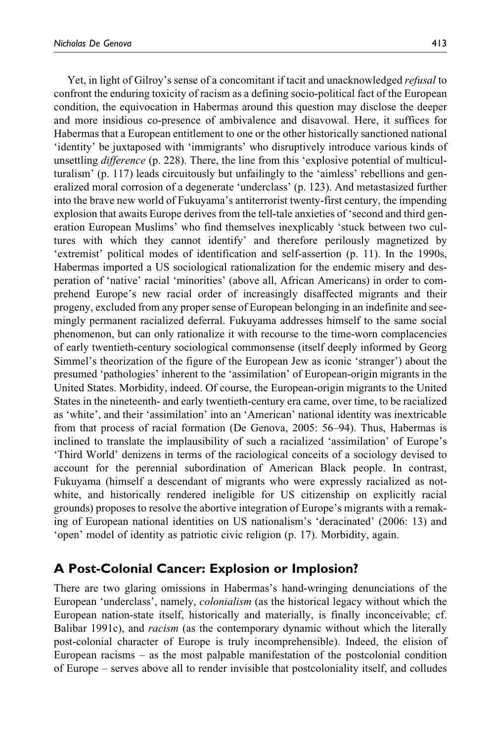Yet, in light of Gilroy's sense of a concomitant if tacit and unacknowledged *refusal* to confront the enduring toxicity of racism as a defining socio-political fact of the European condition, the equivocation in Habermas around this question may disclose the deeper and more insidious co-presence of ambivalence and disavowal. Here, it suffices for Habermas that a European entitlement to one or the other historically sanctioned national 'identity' be juxtaposed with 'immigrants' who disruptively introduce various kinds of unsettling difference (p. 228). There, the line from this 'explosive potential of multiculturalism' (p. 117) leads circuitously but unfailingly to the 'aimless' rebellions and generalized moral corrosion of a degenerate 'underclass' (p. 123). And metastasized further into the brave new world of Fukuyama's antiterrorist twenty-first century, the impending explosion that awaits Europe derives from the tell-tale anxieties of 'second and third generation European Muslims' who find themselves inexplicably 'stuck between two cultures with which they cannot identify' and therefore perilously magnetized by 'extremist' political modes of identification and self-assertion (p. 11). In the 1990s, Habermas imported a US sociological rationalization for the endemic misery and desperation of 'native' racial 'minorities' (above all, African Americans) in order to comprehend Europe's new racial order of increasingly disaffected migrants and their progeny, excluded from any proper sense of European belonging in an indefinite and seemingly permanent racialized deferral. Fukuyama addresses himself to the same social phenomenon, but can only rationalize it with recourse to the time-worn complacencies of early twentieth-century sociological commonsense (itself deeply informed by Georg Simmel's theorization of the figure of the European Jew as iconic 'stranger') about the presumed 'pathologies' inherent to the 'assimilation' of European-origin migrants in the United States. Morbidity, indeed. Of course, the European-origin migrants to the United States in the nineteenth- and early twentieth-century era came, over time, to be racialized as 'white', and their 'assimilation' into an 'American' national identity was inextricable from that process of racial formation (De Genova, 2005: 56–94). Thus, Habermas is inclined to translate the implausibility of such a racialized 'assimilation' of Europe's 'Third World' denizens in terms of the raciological conceits of a sociology devised to account for the perennial subordination of American Black people. In contrast, Fukuyama (himself a descendant of migrants who were expressly racialized as notwhite, and historically rendered ineligible for US citizenship on explicitly racial grounds) proposes to resolve the abortive integration of Europe's migrants with a remaking of European national identities on US nationalism's 'deracinated' (2006: 13) and 'open' model of identity as patriotic civic religion (p. 17). Morbidity, again.

# A Post-Colonial Cancer: Explosion or Implosion?

There are two glaring omissions in Habermas's hand-wringing denunciations of the European 'underclass', namely, colonialism (as the historical legacy without which the European nation-state itself, historically and materially, is finally inconceivable; cf. Balibar 1991c), and *racism* (as the contemporary dynamic without which the literally post-colonial character of Europe is truly incomprehensible). Indeed, the elision of European racisms – as the most palpable manifestation of the postcolonial condition of Europe – serves above all to render invisible that postcoloniality itself, and colludes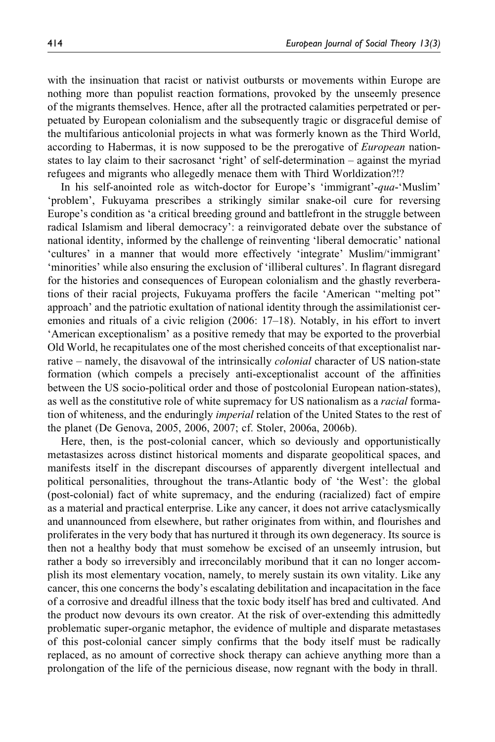with the insinuation that racist or nativist outbursts or movements within Europe are nothing more than populist reaction formations, provoked by the unseemly presence of the migrants themselves. Hence, after all the protracted calamities perpetrated or perpetuated by European colonialism and the subsequently tragic or disgraceful demise of the multifarious anticolonial projects in what was formerly known as the Third World, according to Habermas, it is now supposed to be the prerogative of *European* nationstates to lay claim to their sacrosanct 'right' of self-determination – against the myriad refugees and migrants who allegedly menace them with Third Worldization?!?

In his self-anointed role as witch-doctor for Europe's 'immigrant'-qua-'Muslim' 'problem', Fukuyama prescribes a strikingly similar snake-oil cure for reversing Europe's condition as 'a critical breeding ground and battlefront in the struggle between radical Islamism and liberal democracy': a reinvigorated debate over the substance of national identity, informed by the challenge of reinventing 'liberal democratic' national 'cultures' in a manner that would more effectively 'integrate' Muslim/'immigrant' 'minorities' while also ensuring the exclusion of 'illiberal cultures'. In flagrant disregard for the histories and consequences of European colonialism and the ghastly reverberations of their racial projects, Fukuyama proffers the facile 'American ''melting pot'' approach' and the patriotic exultation of national identity through the assimilationist ceremonies and rituals of a civic religion (2006: 17–18). Notably, in his effort to invert 'American exceptionalism' as a positive remedy that may be exported to the proverbial Old World, he recapitulates one of the most cherished conceits of that exceptionalist narrative – namely, the disavowal of the intrinsically *colonial* character of US nation-state formation (which compels a precisely anti-exceptionalist account of the affinities between the US socio-political order and those of postcolonial European nation-states), as well as the constitutive role of white supremacy for US nationalism as a *racial* formation of whiteness, and the enduringly *imperial* relation of the United States to the rest of the planet (De Genova, 2005, 2006, 2007; cf. Stoler, 2006a, 2006b).

Here, then, is the post-colonial cancer, which so deviously and opportunistically metastasizes across distinct historical moments and disparate geopolitical spaces, and manifests itself in the discrepant discourses of apparently divergent intellectual and political personalities, throughout the trans-Atlantic body of 'the West': the global (post-colonial) fact of white supremacy, and the enduring (racialized) fact of empire as a material and practical enterprise. Like any cancer, it does not arrive cataclysmically and unannounced from elsewhere, but rather originates from within, and flourishes and proliferates in the very body that has nurtured it through its own degeneracy. Its source is then not a healthy body that must somehow be excised of an unseemly intrusion, but rather a body so irreversibly and irreconcilably moribund that it can no longer accomplish its most elementary vocation, namely, to merely sustain its own vitality. Like any cancer, this one concerns the body's escalating debilitation and incapacitation in the face of a corrosive and dreadful illness that the toxic body itself has bred and cultivated. And the product now devours its own creator. At the risk of over-extending this admittedly problematic super-organic metaphor, the evidence of multiple and disparate metastases of this post-colonial cancer simply confirms that the body itself must be radically replaced, as no amount of corrective shock therapy can achieve anything more than a prolongation of the life of the pernicious disease, now regnant with the body in thrall.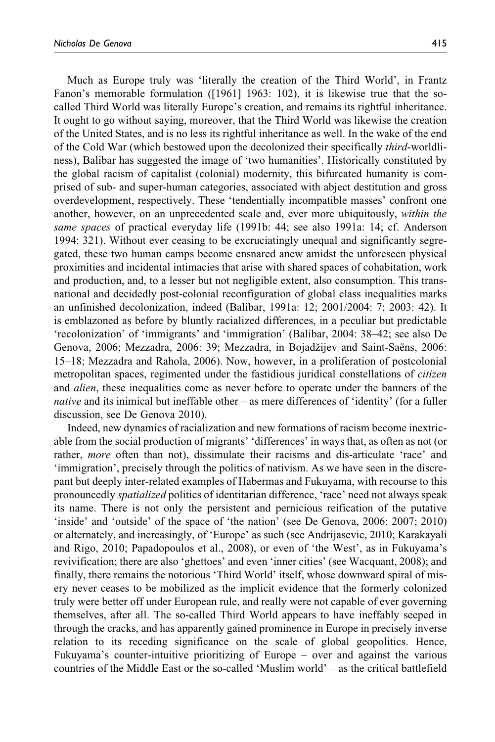Much as Europe truly was 'literally the creation of the Third World', in Frantz Fanon's memorable formulation ([1961] 1963: 102), it is likewise true that the socalled Third World was literally Europe's creation, and remains its rightful inheritance. It ought to go without saying, moreover, that the Third World was likewise the creation of the United States, and is no less its rightful inheritance as well. In the wake of the end of the Cold War (which bestowed upon the decolonized their specifically third-worldliness), Balibar has suggested the image of 'two humanities'. Historically constituted by the global racism of capitalist (colonial) modernity, this bifurcated humanity is comprised of sub- and super-human categories, associated with abject destitution and gross overdevelopment, respectively. These 'tendentially incompatible masses' confront one another, however, on an unprecedented scale and, ever more ubiquitously, within the same spaces of practical everyday life (1991b: 44; see also 1991a: 14; cf. Anderson 1994: 321). Without ever ceasing to be excruciatingly unequal and significantly segregated, these two human camps become ensnared anew amidst the unforeseen physical proximities and incidental intimacies that arise with shared spaces of cohabitation, work and production, and, to a lesser but not negligible extent, also consumption. This transnational and decidedly post-colonial reconfiguration of global class inequalities marks an unfinished decolonization, indeed (Balibar, 1991a: 12; 2001/2004: 7; 2003: 42). It is emblazoned as before by bluntly racialized differences, in a peculiar but predictable 'recolonization' of 'immigrants' and 'immigration' (Balibar, 2004: 38–42; see also De Genova, 2006; Mezzadra, 2006: 39; Mezzadra, in Bojadžijev and Saint-Saëns, 2006: 15–18; Mezzadra and Rahola, 2006). Now, however, in a proliferation of postcolonial metropolitan spaces, regimented under the fastidious juridical constellations of citizen and *alien*, these inequalities come as never before to operate under the banners of the native and its inimical but ineffable other – as mere differences of 'identity' (for a fuller discussion, see De Genova 2010).

Indeed, new dynamics of racialization and new formations of racism become inextricable from the social production of migrants' 'differences' in ways that, as often as not (or rather, more often than not), dissimulate their racisms and dis-articulate 'race' and 'immigration', precisely through the politics of nativism. As we have seen in the discrepant but deeply inter-related examples of Habermas and Fukuyama, with recourse to this pronouncedly spatialized politics of identitarian difference, 'race' need not always speak its name. There is not only the persistent and pernicious reification of the putative 'inside' and 'outside' of the space of 'the nation' (see De Genova, 2006; 2007; 2010) or alternately, and increasingly, of 'Europe' as such (see Andrijasevic, 2010; Karakayali and Rigo, 2010; Papadopoulos et al., 2008), or even of 'the West', as in Fukuyama's revivification; there are also 'ghettoes' and even 'inner cities' (see Wacquant, 2008); and finally, there remains the notorious 'Third World' itself, whose downward spiral of misery never ceases to be mobilized as the implicit evidence that the formerly colonized truly were better off under European rule, and really were not capable of ever governing themselves, after all. The so-called Third World appears to have ineffably seeped in through the cracks, and has apparently gained prominence in Europe in precisely inverse relation to its receding significance on the scale of global geopolitics. Hence, Fukuyama's counter-intuitive prioritizing of Europe – over and against the various countries of the Middle East or the so-called 'Muslim world' – as the critical battlefield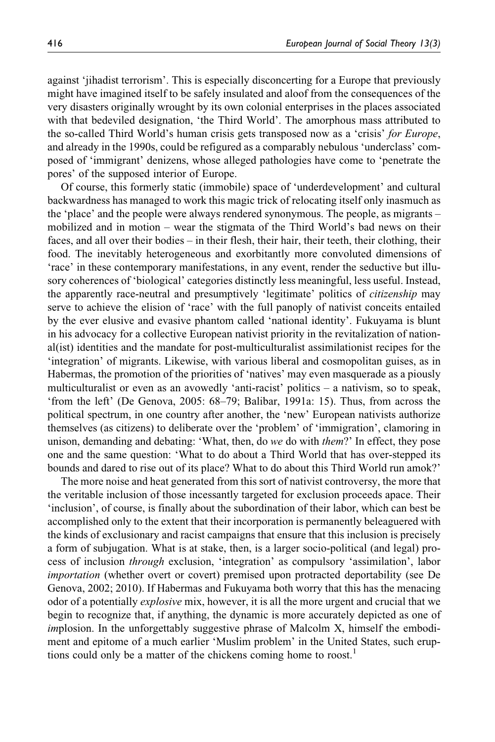against 'jihadist terrorism'. This is especially disconcerting for a Europe that previously might have imagined itself to be safely insulated and aloof from the consequences of the very disasters originally wrought by its own colonial enterprises in the places associated with that bedeviled designation, 'the Third World'. The amorphous mass attributed to the so-called Third World's human crisis gets transposed now as a 'crisis' for Europe, and already in the 1990s, could be refigured as a comparably nebulous 'underclass' composed of 'immigrant' denizens, whose alleged pathologies have come to 'penetrate the pores' of the supposed interior of Europe.

Of course, this formerly static (immobile) space of 'underdevelopment' and cultural backwardness has managed to work this magic trick of relocating itself only inasmuch as the 'place' and the people were always rendered synonymous. The people, as migrants – mobilized and in motion – wear the stigmata of the Third World's bad news on their faces, and all over their bodies – in their flesh, their hair, their teeth, their clothing, their food. The inevitably heterogeneous and exorbitantly more convoluted dimensions of 'race' in these contemporary manifestations, in any event, render the seductive but illusory coherences of 'biological' categories distinctly less meaningful, less useful. Instead, the apparently race-neutral and presumptively 'legitimate' politics of *citizenship* may serve to achieve the elision of 'race' with the full panoply of nativist conceits entailed by the ever elusive and evasive phantom called 'national identity'. Fukuyama is blunt in his advocacy for a collective European nativist priority in the revitalization of national(ist) identities and the mandate for post-multiculturalist assimilationist recipes for the 'integration' of migrants. Likewise, with various liberal and cosmopolitan guises, as in Habermas, the promotion of the priorities of 'natives' may even masquerade as a piously multiculturalist or even as an avowedly 'anti-racist' politics – a nativism, so to speak, 'from the left' (De Genova, 2005: 68–79; Balibar, 1991a: 15). Thus, from across the political spectrum, in one country after another, the 'new' European nativists authorize themselves (as citizens) to deliberate over the 'problem' of 'immigration', clamoring in unison, demanding and debating: 'What, then, do we do with *them*?' In effect, they pose one and the same question: 'What to do about a Third World that has over-stepped its bounds and dared to rise out of its place? What to do about this Third World run amok?'

The more noise and heat generated from this sort of nativist controversy, the more that the veritable inclusion of those incessantly targeted for exclusion proceeds apace. Their 'inclusion', of course, is finally about the subordination of their labor, which can best be accomplished only to the extent that their incorporation is permanently beleaguered with the kinds of exclusionary and racist campaigns that ensure that this inclusion is precisely a form of subjugation. What is at stake, then, is a larger socio-political (and legal) process of inclusion through exclusion, 'integration' as compulsory 'assimilation', labor importation (whether overt or covert) premised upon protracted deportability (see De Genova, 2002; 2010). If Habermas and Fukuyama both worry that this has the menacing odor of a potentially explosive mix, however, it is all the more urgent and crucial that we begin to recognize that, if anything, the dynamic is more accurately depicted as one of implosion. In the unforgettably suggestive phrase of Malcolm X, himself the embodiment and epitome of a much earlier 'Muslim problem' in the United States, such eruptions could only be a matter of the chickens coming home to roost.<sup>1</sup>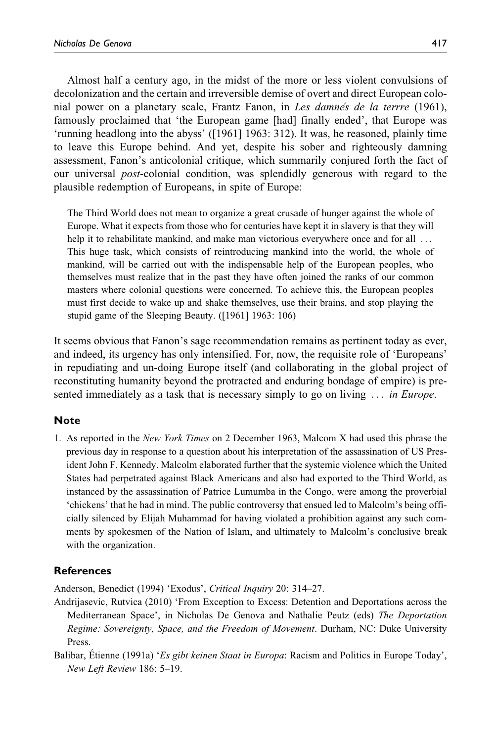Almost half a century ago, in the midst of the more or less violent convulsions of decolonization and the certain and irreversible demise of overt and direct European colonial power on a planetary scale, Frantz Fanon, in Les damne's de la terrre (1961), famously proclaimed that 'the European game [had] finally ended', that Europe was 'running headlong into the abyss' ([1961] 1963: 312). It was, he reasoned, plainly time to leave this Europe behind. And yet, despite his sober and righteously damning assessment, Fanon's anticolonial critique, which summarily conjured forth the fact of our universal post-colonial condition, was splendidly generous with regard to the plausible redemption of Europeans, in spite of Europe:

The Third World does not mean to organize a great crusade of hunger against the whole of Europe. What it expects from those who for centuries have kept it in slavery is that they will help it to rehabilitate mankind, and make man victorious everywhere once and for all ... This huge task, which consists of reintroducing mankind into the world, the whole of mankind, will be carried out with the indispensable help of the European peoples, who themselves must realize that in the past they have often joined the ranks of our common masters where colonial questions were concerned. To achieve this, the European peoples must first decide to wake up and shake themselves, use their brains, and stop playing the stupid game of the Sleeping Beauty. ([1961] 1963: 106)

It seems obvious that Fanon's sage recommendation remains as pertinent today as ever, and indeed, its urgency has only intensified. For, now, the requisite role of 'Europeans' in repudiating and un-doing Europe itself (and collaborating in the global project of reconstituting humanity beyond the protracted and enduring bondage of empire) is presented immediately as a task that is necessary simply to go on living ... *in Europe*.

#### Note

1. As reported in the New York Times on 2 December 1963, Malcom X had used this phrase the previous day in response to a question about his interpretation of the assassination of US President John F. Kennedy. Malcolm elaborated further that the systemic violence which the United States had perpetrated against Black Americans and also had exported to the Third World, as instanced by the assassination of Patrice Lumumba in the Congo, were among the proverbial 'chickens' that he had in mind. The public controversy that ensued led to Malcolm's being officially silenced by Elijah Muhammad for having violated a prohibition against any such comments by spokesmen of the Nation of Islam, and ultimately to Malcolm's conclusive break with the organization.

#### **References**

Anderson, Benedict (1994) 'Exodus', Critical Inquiry 20: 314–27.

- Andrijasevic, Rutvica (2010) 'From Exception to Excess: Detention and Deportations across the Mediterranean Space', in Nicholas De Genova and Nathalie Peutz (eds) The Deportation Regime: Sovereignty, Space, and the Freedom of Movement. Durham, NC: Duke University Press.
- Balibar, Etienne (1991a) 'Es gibt keinen Staat in Europa: Racism and Politics in Europe Today', New Left Review 186: 5–19.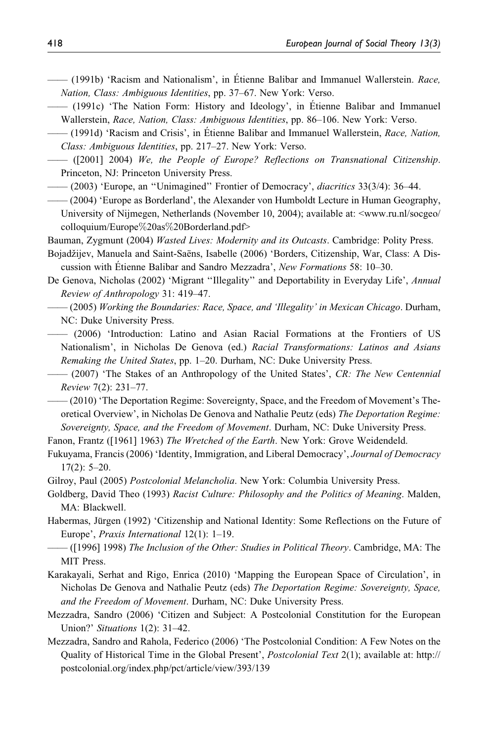- $-$  (1991b) 'Racism and Nationalism', in Étienne Balibar and Immanuel Wallerstein. Race, Nation, Class: Ambiguous Identities, pp. 37–67. New York: Verso.
- –––– (1991c) 'The Nation Form: History and Ideology', in E´tienne Balibar and Immanuel Wallerstein, Race, Nation, Class: Ambiguous Identities, pp. 86–106. New York: Verso.
- $-$  (1991d) 'Racism and Crisis', in Étienne Balibar and Immanuel Wallerstein, Race, Nation, Class: Ambiguous Identities, pp. 217–27. New York: Verso.
- –––– ([2001] 2004) We, the People of Europe? Reflections on Transnational Citizenship. Princeton, NJ: Princeton University Press.
- –––– (2003) 'Europe, an ''Unimagined'' Frontier of Democracy', diacritics 33(3/4): 36–44.
- –––– (2004) 'Europe as Borderland', the Alexander von Humboldt Lecture in Human Geography, University of Nijmegen, Netherlands (November 10, 2004); available at:  $\langle$ www.ru.nl/socgeo/ colloquium/Europe%20as%20Borderland.pdf>
- Bauman, Zygmunt (2004) Wasted Lives: Modernity and its Outcasts. Cambridge: Polity Press.
- Bojadžijev, Manuela and Saint-Saëns, Isabelle (2006) 'Borders, Citizenship, War, Class: A Discussion with Étienne Balibar and Sandro Mezzadra', New Formations 58: 10–30.
- De Genova, Nicholas (2002) 'Migrant "Illegality" and Deportability in Everyday Life', Annual Review of Anthropology 31: 419–47.
	- $-(2005)$  Working the Boundaries: Race, Space, and 'Illegality' in Mexican Chicago. Durham, NC: Duke University Press.
	- –––– (2006) 'Introduction: Latino and Asian Racial Formations at the Frontiers of US Nationalism', in Nicholas De Genova (ed.) Racial Transformations: Latinos and Asians Remaking the United States, pp. 1–20. Durham, NC: Duke University Press.
- $-$  (2007) 'The Stakes of an Anthropology of the United States', CR: The New Centennial Review 7(2): 231–77.
- $-(2010)$  'The Deportation Regime: Sovereignty, Space, and the Freedom of Movement's Theoretical Overview', in Nicholas De Genova and Nathalie Peutz (eds) The Deportation Regime: Sovereignty, Space, and the Freedom of Movement. Durham, NC: Duke University Press.
- Fanon, Frantz ([1961] 1963) The Wretched of the Earth. New York: Grove Weidendeld.
- Fukuyama, Francis (2006) 'Identity, Immigration, and Liberal Democracy', Journal of Democracy 17(2): 5–20.
- Gilroy, Paul (2005) Postcolonial Melancholia. New York: Columbia University Press.
- Goldberg, David Theo (1993) Racist Culture: Philosophy and the Politics of Meaning. Malden, MA: Blackwell.
- Habermas, Jürgen (1992) 'Citizenship and National Identity: Some Reflections on the Future of Europe', Praxis International 12(1): 1–19.
- –––– ([1996] 1998) The Inclusion of the Other: Studies in Political Theory. Cambridge, MA: The MIT Press.
- Karakayali, Serhat and Rigo, Enrica (2010) 'Mapping the European Space of Circulation', in Nicholas De Genova and Nathalie Peutz (eds) The Deportation Regime: Sovereignty, Space, and the Freedom of Movement. Durham, NC: Duke University Press.
- Mezzadra, Sandro (2006) 'Citizen and Subject: A Postcolonial Constitution for the European Union?' Situations 1(2): 31–42.
- Mezzadra, Sandro and Rahola, Federico (2006) 'The Postcolonial Condition: A Few Notes on the Quality of Historical Time in the Global Present', *Postcolonial Text* 2(1); available at: http:// postcolonial.org/index.php/pct/article/view/393/139